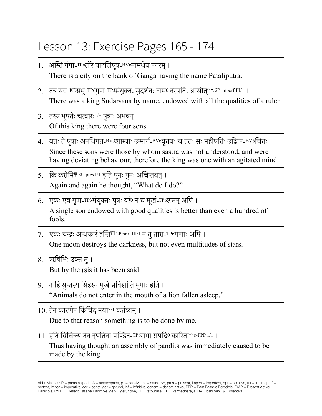## Lesson 13: Exercise Pages 165 - 174

- 1. अस्ति गंगा-TP6तीरेपाटलिपुत्र-BV6नामधेयंनगरम्। There is a city on the bank of Ganga having the name Pataliputra.
- 2. तत्र सर्व-KDप्रभ-TP6गुण-TP3संयुक्तः सुदर्शनः नाम<sup>0</sup> नरपतिः आसीत<sup>अस् 2P imperf III/1 ।</sup> There was a king Sudarsana by name, endowed with all the qualities of a ruler.
- 3. तस्य भूपतेः चत्वारः1/+ पुत्राः अभवन्। Of this king there were four sons.
- 4. यतः तेपुत्राः अनधिगत-BV3शास्त्राः उन्मार्ग-BV6वृत्तयः च ततः सः महीपतिः उद्विग्न-BV6चित्तः । Since these sons were those by whom sastra was not understood, and were having deviating behaviour, therefore the king was one with an agitated mind.
- 5. किं करोमिकृ 8U pres I/1 इति पुनः पुनः अचिन्तयत्। Again and again he thought, "What do I do?"
- 6. एकः एव गुण-TP3संयुक्तः पुत्रः वरं0 न च मूर्ख-TP6शतम् अपि । A single son endowed with good qualities is better than even a hundred of fools.
- 7. एकः चन्द्रः अन्धकारं हन्तिहन् 2P pres III/1 न तुतारा-TP6गणाः अपि । One moon destroys the darkness, but not even multitudes of stars.
- 8. ऋषिभिः उक्तंतु। But by the ṛṣis it has been said:
- 9. न हि सुप्तस्य सिंहस्य मुखेप्रविशन्ति मृगाः इति । "Animals do not enter in the mouth of a lion fallen asleep."
- 10. तेन कारणेन किंचिद्मया3/1 कर्तव्यम्। Due to that reason something is to be done by me.
- 11. इति विचिन्त्य तेन नृपतिना पण्डित-TP6सभा सपदि<sup>0</sup> कारिताकृ c-PPP 1/1 । Thus having thought an assembly of pandits was immediately caused to be made by the king.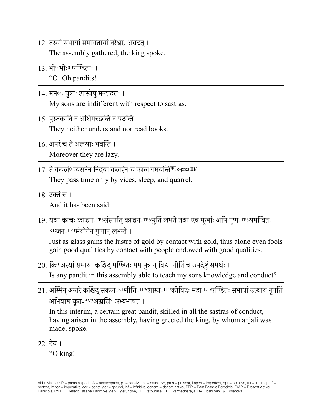12. तस्यांसभायांसमागतायांनरेश्वरः अवदत्।

The assembly gathered, the king spoke.

- 13. भो<sup>0</sup> भोः<sup>0</sup> पण्डिताः । "O! Oh pandits!
- 14. मम6/1 पुत्राः शास्त्रेषुमन्दादराः । My sons are indifferent with respect to sastras.
- 15. पुस्तकानि न अधिगच्छन्ति न पठन्ति । They neither understand nor read books.
- 16. अपरंच तेअलसाः भवन्ति । Moreover they are lazy.
- $17\,$  ते केवलं $^{\rm 0}$  व्यसनेन निद्रया कलहेन च कालं गमयन्ति<sup>गम् c-pres III/+ ।</sup> They pass time only by vices, sleep, and quarrel.
- 18. उक्तंच ।

And it has been said:

19. यथा काचः काञ्चन-TP3संसर्गात् काञ्चन-TP6द्युतिं लभते तथा एव मूर्खाः अपि गुण-TP3समन्वित-KDजन-TP3संयोगेन गुणान् लभन्ते ।

Just as glass gains the lustre of gold by contact with gold, thus alone even fools gain good qualities by contact with people endowed with good qualities.

- 20. किं<sup>0</sup> अस्यांसभायांकश्चिद्पण्डितः मम पुत्रान्विद्यांनीतिं च उपदेष्टुं समर्थः । Is any pandit in this assembly able to teach my sons knowledge and conduct?
- 21. अस्मिन् अन्तरे कश्चिद् सकल-KDनीति-TP6शास्त्र-TP7कोविदः महा-KDपण्डितः सभायां उत्थाय नृपतिं अभिवाद्य कृत-<sup>BV3</sup>अञ्जलिः अभ्यभाषत ।

In this interim, a certain great pandit, skilled in all the sastras of conduct, having arisen in the assembly, having greeted the king, by whom anjali was made, spoke.

22. देव ।

"O king!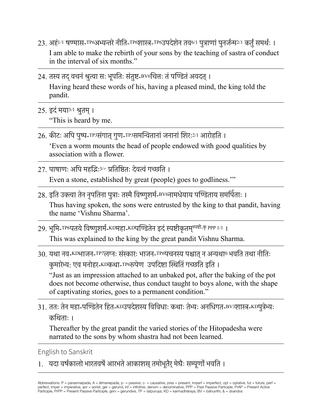- 23. अहं1/1 षण्मास-TP6अभ्यन्तरेनीति-TP6शास्त्र-TP6उपदेशेन तव6/1 पुत्राणांपुनर्जन्म2/1 कर्तुंसमर्थः । I am able to make the rebirth of your sons by the teaching of sastra of conduct in the interval of six months."
- 24. तस्य तद्वचनंश्रुत्वा सः भूपतिः संतुष्ट-BV6चित्तः तंपण्डितंअवदत्। Having heard these words of his, having a pleased mind, the king told the pandit.
- 25. इदंमया3/1 श्रुतम्। "This is heard by me.
- $26.$  कीटः अपि पुष्प-TP3संगात् गुण-TP3समन्वितानां जनानां शिरः  $2/1$  आरोहति । 'Even a worm mounts the head of people endowed with good qualities by association with a flower.
- 27. पाषाणः अपि महद्भिः3/+ प्रतिष्ठितः देवत्वंगच्छति । Even a stone, established by great (people) goes to godliness.'"
- 28. इति उक्त्वा तेन नृपतिना पुत्राः तस्मैविष्णुशर्म-BV6नामधेयाय पण्डिताय समर्पिताः । Thus having spoken, the sons were entrusted by the king to that pandit, having the name 'Vishnu Sharma'.
- 29. भूमि-TP6पतये विष्णुशर्म-KDमहा-KDपण्डितेन इदं स्पष्टीकृतमु<sup>स्पष्टी</sup>-कृ PPP 1/1 । This was explained to the king by the great pandit Vishnu Sharma.
- $30.$  यथा नव-KDभाजन-TP7लग्नः संस्कारः भाजन-TP6पचनस्य पश्चात् न अन्यथा0 भवति तथा नीतिः कु मारेभ्य: एव मनोहर-KDकथा-TP6रूपेण उपदिष्टा स्थितिं गच्छति इति । "Just as an impression attached to an unbaked pot, after the baking of the pot does not become otherwise, thus conduct taught to boys alone, with the shape of captivating stories, goes to a permanent condition."
- 31. ततः तेन महा-पण्डितेन हित-KDउपदेशस्य विविधाः कथाः तेभ्यः अनधिगत-BV3शास्त्र-KDपुत्रेभ्यः कथिताः ।

Thereafter by the great pandit the varied stories of the Hitopadesha were narrated to the sons by whom shastra had not been learned.

English to Sanskrit

1. यदा वर्षकालो भारतवर्षे आरभते आकाशस् तमोभूतैर् मेघैः सम्पूर्णो भवति ।